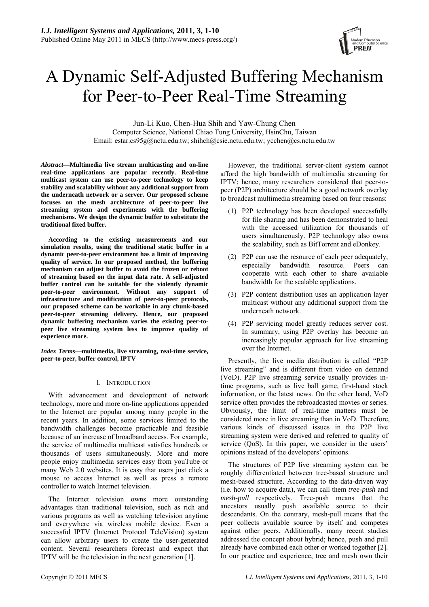# A Dynamic Self-Adjusted Buffering Mechanism for Peer-to-Peer Real-Time Streaming

Jun-Li Kuo, Chen-Hua Shih and Yaw-Chung Chen Computer Science, National Chiao Tung University, HsinChu, Taiwan Email: estar.cs95g@nctu.edu.tw; shihch@csie.nctu.edu.tw; ycchen@cs.nctu.edu.tw

*Abstract***—Multimedia live stream multicasting and on-line real-time applications are popular recently. Real-time multicast system can use peer-to-peer technology to keep stability and scalability without any additional support from the underneath network or a server. Our proposed scheme focuses on the mesh architecture of peer-to-peer live streaming system and experiments with the buffering mechanisms. We design the dynamic buffer to substitute the traditional fixed buffer.** 

**According to the existing measurements and our simulation results, using the traditional static buffer in a dynamic peer-to-peer environment has a limit of improving quality of service. In our proposed method, the buffering mechanism can adjust buffer to avoid the frozen or reboot of streaming based on the input data rate. A self-adjusted buffer control can be suitable for the violently dynamic peer-to-peer environment. Without any support of infrastructure and modification of peer-to-peer protocols, our proposed scheme can be workable in any chunk-based peer-to-peer streaming delivery. Hence, our proposed dynamic buffering mechanism varies the existing peer-topeer live streaming system less to improve quality of experience more.** 

*Index Terms***—multimedia, live streaming, real-time service, peer-to-peer, buffer control, IPTV** 

# I. INTRODUCTION

With advancement and development of network technology, more and more on-line applications appended to the Internet are popular among many people in the recent years. In addition, some services limited to the bandwidth challenges become practicable and feasible because of an increase of broadband access. For example, the service of multimedia multicast satisfies hundreds or thousands of users simultaneously. More and more people enjoy multimedia services easy from youTube or many Web 2.0 websites. It is easy that users just click a mouse to access Internet as well as press a remote controller to watch Internet television.

The Internet television owns more outstanding advantages than traditional television, such as rich and various programs as well as watching television anytime and everywhere via wireless mobile device. Even a successful IPTV (Internet Protocol TeleVision) system can allow arbitrary users to create the user-generated content. Several researchers forecast and expect that IPTV will be the television in the next generation [1].

However, the traditional server-client system cannot afford the high bandwidth of multimedia streaming for IPTV; hence, many researchers considered that peer-topeer (P2P) architecture should be a good network overlay to broadcast multimedia streaming based on four reasons:

- (1) P2P technology has been developed successfully for file sharing and has been demonstrated to heal with the accessed utilization for thousands of users simultaneously. P2P technology also owns the scalability, such as BitTorrent and eDonkey.
- (2) P2P can use the resource of each peer adequately, especially bandwidth resource. Peers can cooperate with each other to share available bandwidth for the scalable applications.
- (3) P2P content distribution uses an application layer multicast without any additional support from the underneath network.
- (4) P2P servicing model greatly reduces server cost. In summary, using P2P overlay has become an increasingly popular approach for live streaming over the Internet.

Presently, the live media distribution is called "P2P live streaming" and is different from video on demand (VoD). P2P live streaming service usually provides intime programs, such as live ball game, first-hand stock information, or the latest news. On the other hand, VoD service often provides the rebroadcasted movies or series. Obviously, the limit of real-time matters must be considered more in live streaming than in VoD. Therefore, various kinds of discussed issues in the P2P live streaming system were derived and referred to quality of service (QoS). In this paper, we consider in the users' opinions instead of the developers' opinions.

The structures of P2P live streaming system can be roughly differentiated between tree-based structure and mesh-based structure. According to the data-driven way (i.e. how to acquire data), we can call them *tree-push* and *mesh-pull* respectively. Tree-push means that the ancestors usually push available source to their descendants. On the contrary, mesh-pull means that the peer collects available source by itself and competes against other peers. Additionally, many recent studies addressed the concept about hybrid; hence, push and pull already have combined each other or worked together [2]. In our practice and experience, tree and mesh own their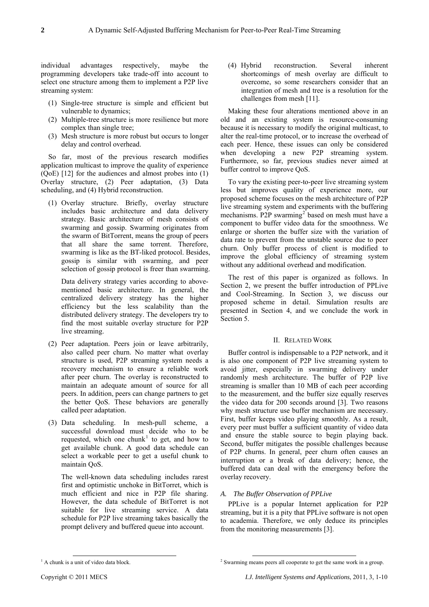individual advantages respectively, maybe the programming developers take trade-off into account to select one structure among them to implement a P2P live streaming system:

- (1) Single-tree structure is simple and efficient but vulnerable to dynamics;
- (2) Multiple-tree structure is more resilience but more complex than single tree;
- (3) Mesh structure is more robust but occurs to longer delay and control overhead.

So far, most of the previous research modifies application multicast to improve the quality of experience (QoE) [12] for the audiences and almost probes into (1) Overlay structure, (2) Peer adaptation, (3) Data scheduling, and (4) Hybrid reconstruction.

(1) Overlay structure. Briefly, overlay structure includes basic architecture and data delivery strategy. Basic architecture of mesh consists of swarming and gossip. Swarming originates from the swarm of BitTorrent, means the group of peers that all share the same torrent. Therefore, swarming is like as the BT-liked protocol. Besides, gossip is similar with swarming, and peer selection of gossip protocol is freer than swarming.

 Data delivery strategy varies according to abovementioned basic architecture. In general, the centralized delivery strategy has the higher efficiency but the less scalability than the distributed delivery strategy. The developers try to find the most suitable overlay structure for P2P live streaming.

- (2) Peer adaptation. Peers join or leave arbitrarily, also called peer churn. No matter what overlay structure is used, P2P streaming system needs a recovery mechanism to ensure a reliable work after peer churn. The overlay is reconstructed to maintain an adequate amount of source for all peers. In addition, peers can change partners to get the better QoS. These behaviors are generally called peer adaptation.
- (3) Data scheduling. In mesh-pull scheme, a successful download must decide who to be requested, which one chunk<sup>[1](#page-1-0)</sup> to get, and how to get available chunk. A good data schedule can select a workable peer to get a useful chunk to maintain QoS.

 The well-known data scheduling includes rarest first and optimistic unchoke in BitTorret, which is much efficient and nice in P2P file sharing. However, the data schedule of BitTorret is not suitable for live streaming service. A data schedule for P2P live streaming takes basically the prompt delivery and buffered queue into account.

(4) Hybrid reconstruction. Several inherent shortcomings of mesh overlay are difficult to overcome, so some researchers consider that an integration of mesh and tree is a resolution for the challenges from mesh [11].

Making these four alterations mentioned above in an old and an existing system is resource-consuming because it is necessary to modify the original multicast, to alter the real-time protocol, or to increase the overhead of each peer. Hence, these issues can only be considered when developing a new P2P streaming system. Furthermore, so far, previous studies never aimed at buffer control to improve QoS.

To vary the existing peer-to-peer live streaming system less but improves quality of experience more, our proposed scheme focuses on the mesh architecture of P2P live streaming system and experiments with the buffering mechanisms. P[2](#page-1-0)P swarming<sup>2</sup> based on mesh must have a component to buffer video data for the smoothness. We enlarge or shorten the buffer size with the variation of data rate to prevent from the unstable source due to peer churn. Only buffer process of client is modified to improve the global efficiency of streaming system without any additional overhead and modification.

The rest of this paper is organized as follows. In Section 2, we present the buffer introduction of PPLive and Cool-Streaming. In Section 3, we discuss our proposed scheme in detail. Simulation results are presented in Section 4, and we conclude the work in Section 5.

# II. RELATED WORK

Buffer control is indispensable to a P2P network, and it is also one component of P2P live streaming system to avoid jitter, especially in swarming delivery under randomly mesh architecture. The buffer of P2P live streaming is smaller than 10 MB of each peer according to the measurement, and the buffer size equally reserves the video data for 200 seconds around [3]. Two reasons why mesh structure use buffer mechanism are necessary. First, buffer keeps video playing smoothly. As a result, every peer must buffer a sufficient quantity of video data and ensure the stable source to begin playing back. Second, buffer mitigates the possible challenges because of P2P churns. In general, peer churn often causes an interruption or a break of data delivery; hence, the buffered data can deal with the emergency before the overlay recovery.

# *A. The Buffer Observation of PPLive*

PPLive is a popular Internet application for P2P streaming, but it is a pity that PPLive software is not open to academia. Therefore, we only deduce its principles from the monitoring measurements [3].

<span id="page-1-0"></span>ext.<br>
<sup>1</sup> A chunk is a unit of video data block.<sup>2</sup> Swarming m

<sup>&</sup>lt;sup>2</sup> Swarming means peers all cooperate to get the same work in a group.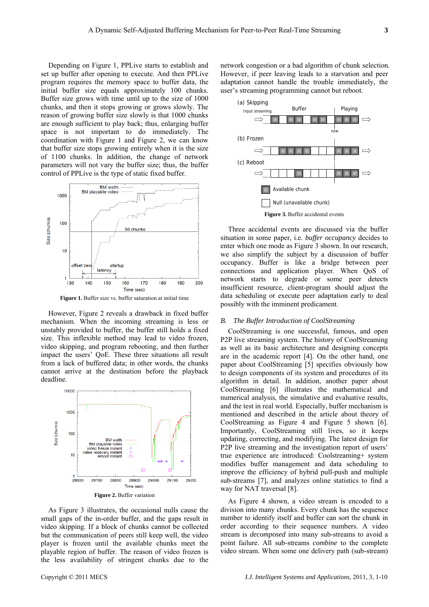Depending on Figure 1, PPLive starts to establish and set up buffer after opening to execute. And then PPLive program requires the memory space to buffer data, the initial buffer size equals approximately 100 chunks. Buffer size grows with time until up to the size of 1000 chunks, and then it stops growing or grows slowly. The reason of growing buffer size slowly is that 1000 chunks are enough sufficient to play back; thus, enlarging buffer space is not important to do immediately. The coordination with Figure 1 and Figure 2, we can know that buffer size stops growing entirely when it is the size of 1100 chunks. In addition, the change of network parameters will not vary the buffer size; thus, the buffer control of PPLive is the type of static fixed buffer.



**Figure 1.** Buffer size vs. buffer saturation at initial time

However, Figure 2 reveals a drawback in fixed buffer mechanism. When the incoming streaming is less or unstably provided to buffer, the buffer still holds a fixed size. This inflexible method may lead to video frozen, video skipping, and program rebooting, and then further impact the users' QoE. These three situations all result from a lack of buffered data; in other words, the chunks cannot arrive at the destination before the playback deadline.



As Figure 3 illustrates, the occasional nulls cause the small gaps of the in-order buffer, and the gaps result in video skipping. If a block of chunks cannot be collected but the communication of peers still keep well, the video player is frozen until the available chunks meet the playable region of buffer. The reason of video frozen is the less availability of stringent chunks due to the

network congestion or a bad algorithm of chunk selection. However, if peer leaving leads to a starvation and peer adaptation cannot handle the trouble immediately, the user's streaming programming cannot but reboot.



Three accidental events are discussed via the buffer situation in some paper, i.e. *buffer occupancy* decides to enter which one mode as Figure 3 shown. In our research, we also simplify the subject by a discussion of buffer occupancy. Buffer is like a bridge between peer connections and application player. When QoS of network starts to degrade or some peer detects insufficient resource, client-program should adjust the data scheduling or execute peer adaptation early to deal possibly with the imminent predicament.

# *B. The Buffer Introduction of CoolStreaming*

CoolStreaming is one successful, famous, and open P2P live streaming system. The history of CoolStreaming as well as its basic architecture and designing concepts are in the academic report [4]. On the other hand, one paper about CoolStreaming [5] specifies obviously how to design components of its system and procedures of its algorithm in detail. In addition, another paper about CoolStreaming [6] illustrates the mathematical and numerical analysis, the simulative and evaluative results, and the test in real world. Especially, buffer mechanism is mentioned and described in the article about theory of CoolStreaming as Figure 4 and Figure 5 shown [6]. Importantly, CoolStreaming still lives, so it keeps updating, correcting, and modifying. The latest design for P2P live streaming and the investigation report of users' true experience are introduced: Coolstreaming+ system modifies buffer management and data scheduling to improve the efficiency of hybrid pull-push and multiple sub-streams [7], and analyzes online statistics to find a way for NAT traversal [8].

As Figure 4 shown, a video stream is encoded to a division into many chunks. Every chunk has the sequence number to identify itself and buffer can sort the chunk in order according to their sequence numbers. A video stream is *decomposed* into many sub-streams to avoid a point failure. All sub-streams *combine* to the complete video stream. When some one delivery path (sub-stream)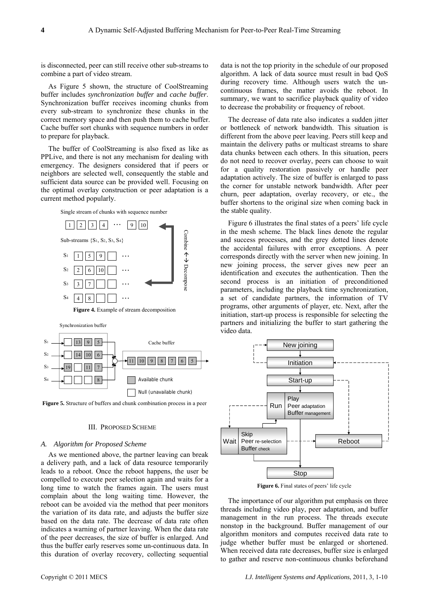is disconnected, peer can still receive other sub-streams to combine a part of video stream.

As Figure 5 shown, the structure of CoolStreaming buffer includes *synchronization buffer* and *cache buffer*. Synchronization buffer receives incoming chunks from every sub-stream to synchronize these chunks in the correct memory space and then push them to cache buffer. Cache buffer sort chunks with sequence numbers in order to prepare for playback.

The buffer of CoolStreaming is also fixed as like as PPLive, and there is not any mechanism for dealing with emergency. The designers considered that if peers or neighbors are selected well, consequently the stable and sufficient data source can be provided well. Focusing on the optimal overlay construction or peer adaptation is a current method popularly.

Single stream of chunks with sequence number



**Figure 5.** Structure of buffers and chunk combination process in a peer

#### III. PROPOSED SCHEME

#### *A. Algorithm for Proposed Scheme*

As we mentioned above, the partner leaving can break a delivery path, and a lack of data resource temporarily leads to a reboot. Once the reboot happens, the user be compelled to execute peer selection again and waits for a long time to watch the frames again. The users must complain about the long waiting time. However, the reboot can be avoided via the method that peer monitors the variation of its data rate, and adjusts the buffer size based on the data rate. The decrease of data rate often indicates a warning of partner leaving. When the data rate of the peer decreases, the size of buffer is enlarged. And thus the buffer early reserves some un-continuous data. In this duration of overlay recovery, collecting sequential data is not the top priority in the schedule of our proposed algorithm. A lack of data source must result in bad QoS during recovery time. Although users watch the uncontinuous frames, the matter avoids the reboot. In summary, we want to sacrifice playback quality of video to decrease the probability or frequency of reboot.

The decrease of data rate also indicates a sudden jitter or bottleneck of network bandwidth. This situation is different from the above peer leaving. Peers still keep and maintain the delivery paths or multicast streams to share data chunks between each others. In this situation, peers do not need to recover overlay, peers can choose to wait for a quality restoration passively or handle peer adaptation actively. The size of buffer is enlarged to pass the corner for unstable network bandwidth. After peer churn, peer adaptation, overlay recovery, or etc., the buffer shortens to the original size when coming back in the stable quality.

Figure 6 illustrates the final states of a peers' life cycle in the mesh scheme. The black lines denote the regular and success processes, and the grey dotted lines denote the accidental failures with error exceptions. A peer corresponds directly with the server when new joining. In new joining process, the server gives new peer an identification and executes the authentication. Then the second process is an initiation of preconditioned parameters, including the playback time synchronization, a set of candidate partners, the information of TV programs, other arguments of player, etc. Next, after the initiation, start-up process is responsible for selecting the partners and initializing the buffer to start gathering the video data.



**Figure 6.** Final states of peers' life cycle

The importance of our algorithm put emphasis on three threads including video play, peer adaptation, and buffer management in the run process. The threads execute nonstop in the background. Buffer management of our algorithm monitors and computes received data rate to judge whether buffer must be enlarged or shortened. When received data rate decreases, buffer size is enlarged to gather and reserve non-continuous chunks beforehand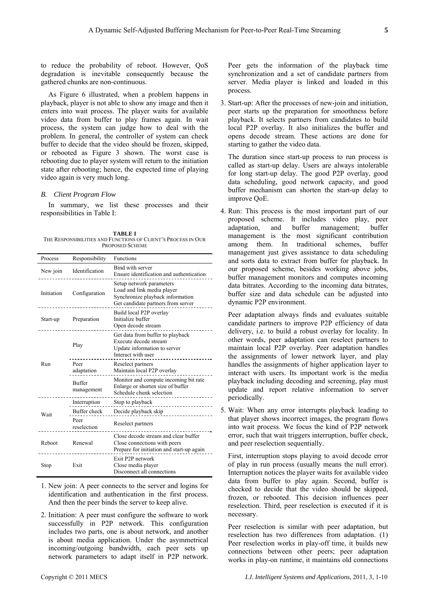to reduce the probability of reboot. However, QoS degradation is inevitable consequently because the gathered chunks are non-continuous.

As Figure 6 illustrated, when a problem happens in playback, player is not able to show any image and then it enters into wait process. The player waits for available video data from buffer to play frames again. In wait process, the system can judge how to deal with the problem. In general, the controller of system can check buffer to decide that the video should be frozen, skipped, or rebooted as Figure 3 shown. The worst case is rebooting due to player system will return to the initiation state after rebooting; hence, the expected time of playing video again is very much long.

# *B. Client Program Flow*

In summary, we list these processes and their responsibilities in Table I:

**TABLE I**  THE RESPONSIBILITIES AND FUNCTIONS OF CLIENT'S PROCESS IN OUR PROPOSED SCHEME

| Process    | Responsibility              | Functions                                                                                                                        |
|------------|-----------------------------|----------------------------------------------------------------------------------------------------------------------------------|
| New join   | Identification              | Bind with server<br>Ensure identification and authentication                                                                     |
| Initiation | Configuration               | Setup network parameters<br>Load and link media player<br>Synchronize playback information<br>Get candidate partners from server |
| Start-up   | Preparation                 | Build local P2P overlay<br>Initialize buffer<br>Open decode stream                                                               |
| Run        | Play                        | Get data from buffer to playback<br>Execute decode stream<br>Update information to server<br>Interact with user                  |
|            | Peer<br>adaptation          | Reselect partners<br>Maintain local P2P overlay                                                                                  |
|            | <b>Buffer</b><br>management | Monitor and compute incoming bit rate<br>Enlarge or shorten size of buffer<br>Schedule chunk selection                           |
| Wait       | Interruption                | Stop to playback<br>.                                                                                                            |
|            | Buffer check                | Decide playback skip                                                                                                             |
|            | Peer<br>reselection         | Reselect partners                                                                                                                |
| Reboot     | Renewal                     | Close decode stream and clear buffer<br>Close connections with peers<br>Prepare for initiation and start-up again                |
| Stop       | Exit                        | Exit P2P network<br>Close media player<br>Disconnect all connections                                                             |

- 1. New join: A peer connects to the server and logins for identification and authentication in the first process. And then the peer binds the server to keep alive.
- 2. Initiation: A peer must configure the software to work successfully in P2P network. This configuration includes two parts, one is about network, and another is about media application. Under the asymmetrical incoming/outgoing bandwidth, each peer sets up network parameters to adapt itself in P2P network.

3. Start-up: After the processes of new-join and initiation, peer starts up the preparation for smoothness before playback. It selects partners from candidates to build local P2P overlay. It also initializes the buffer and opens decode stream. These actions are done for starting to gather the video data.

 The duration since start-up process to run process is called as start-up delay. Users are always intolerable for long start-up delay. The good P2P overlay, good data scheduling, good network capacity, and good buffer mechanism can shorten the start-up delay to improve QoE.

4. Run: This process is the most important part of our proposed scheme. It includes video play, peer adaptation, and buffer management; buffer management is the most significant contribution among them. In traditional schemes, buffer management just gives assistance to data scheduling and sorts data to extract from buffer for playback. In our proposed scheme, besides working above jobs, buffer management monitors and computes incoming data bitrates. According to the incoming data bitrates, buffer size and data schedule can be adjusted into dynamic P2P environment.

 Peer adaptation always finds and evaluates suitable candidate partners to improve P2P efficiency of data delivery, i.e. to build a robust overlay for locality. In other words, peer adaptation can reselect partners to maintain local P2P overlay. Peer adaptation handles the assignments of lower network layer, and play handles the assignments of higher application layer to interact with users. Its important work is the media playback including decoding and screening, play must update and report relative information to server periodically.

5. Wait: When any error interrupts playback leading to that player shows incorrect images, the program flows into wait process. We focus the kind of P2P network error, such that wait triggers interruption, buffer check, and peer reselection sequentially.

 First, interruption stops playing to avoid decode error of play in run process (usually means the null error). Interruption notices the player waits for available video data from buffer to play again. Second, buffer is checked to decide that the video should be skipped, frozen, or rebooted. This decision influences peer reselection. Third, peer reselection is executed if it is necessary.

 Peer reselection is similar with peer adaptation, but reselection has two differences from adaptation. (1) Peer reselection works in play-off time, it builds new connections between other peers; peer adaptation works in play-on runtime, it maintains old connections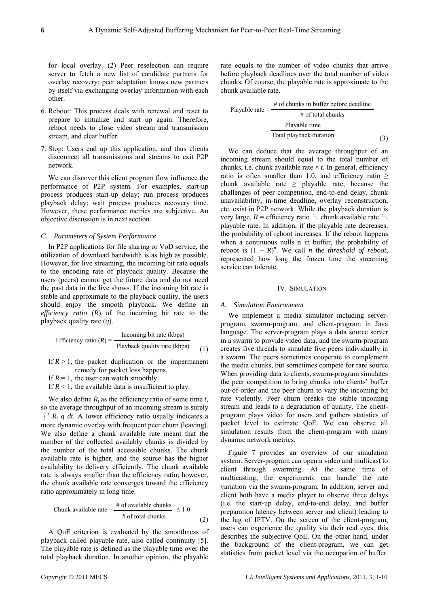for local overlay. (2) Peer reselection can require server to fetch a new list of candidate partners for overlay recovery; peer adaptation knows new partners by itself via exchanging overlay information with each other.

- 6. Reboot: This process deals with renewal and reset to prepare to initialize and start up again. Therefore, reboot needs to close video stream and transmission stream, and clear buffer.
- 7. Stop: Users end up this application, and thus clients disconnect all transmissions and streams to exit P2P network.

We can discover this client program flow influence the performance of P2P system. For examples, start-up process produces start-up delay; run process produces playback delay; wait process produces recovery time. However, these performance metrics are subjective. An objective discussion is in next section.

#### *C. Parameters of System Performance*

In P2P applications for file sharing or VoD service, the utilization of download bandwidth is as high as possible. However, for live streaming, the incoming bit rate equals to the encoding rate of playback quality. Because the users (peers) cannot get the future data and do not need the past data in the live shows. If the incoming bit rate is stable and approximate to the playback quality, the users should enjoy the smooth playback. We define an *efficiency ratio* (*R*) of the incoming bit rate to the playback quality rate (*q*).

Efficiency ratio 
$$
(R)
$$
 = 
$$
\frac{\text{Incoming bit rate (kbps)}}{\text{Playback quality rate (kbps)}}
$$
 (1)

If  $R > 1$ , the packet duplication or the impermanent remedy for packet loss happens.

If  $R = 1$ , the user can watch smoothly.

If  $R < 1$ , the available data is insufficient to play.

We also define  $R_t$  as the efficiency ratio of some time  $t$ , so the average throughput of an incoming stream is surely ∫*<sup>t</sup> Rt q dt*. A lower efficiency ratio usually indicates a more dynamic overlay with frequent peer churn (leaving). We also define a chunk available rate meant that the number of the collected availably chunks is divided by the number of the total accessible chunks. The chunk available rate is higher, and the source has the higher availability to delivery efficiently. The chunk available rate is always smaller than the efficiency ratio; however, the chunk available rate converges toward the efficiency ratio approximately in long time.

Chunk available rate = 
$$
\frac{\text{# of available chunks}}{\text{# of total chunks}}
$$
 ≤ 1.0 (2)

A QoE criterion is evaluated by the smoothness of playback called playable rate, also called continuity [5]. The playable rate is defined as the playable time over the total playback duration. In another opinion, the playable

rate equals to the number of video chunks that arrive before playback deadlines over the total number of video chunks. Of course, the playable rate is approximate to the chunk available rate.

Playable rate = 
$$
\frac{\text{# of chunks in buffer before deadline}}{\text{# of total chunks}}
$$

\n= 
$$
\frac{\text{Playable time}}{\text{Total playback duration}}
$$

\n(3)

We can deduce that the average throughput of an incoming stream should equal to the total number of chunks, i.e. chunk available rate  $\times t$ . In general, efficiency ratio is often smaller than 1.0, and efficiency ratio  $\geq$ chunk available rate  $\geq$  playable rate, because the challenges of peer competition, end-to-end delay, chunk unavailability, in-time deadline, overlay reconstruction, etc. exist in P2P network. While the playback duration is very large, *R* = efficiency ratio  $\dot{=}$  chunk available rate  $\dot{=}$ playable rate. In addition, if the playable rate decreases, the probability of reboot increases. If the reboot happens when a continuous nulls n in buffer, the probability of reboot is  $(1 - R)^n$ . We call *n* the *threshold of reboot*, represented how long the frozen time the streaming service can tolerate.

### IV. SIMULATION

### *A. Simulation Environment*

We implement a media simulator including serverprogram, swarm-program, and client-program in Java language. The server-program plays a data source server in a swarm to provide video data, and the swarm-program creates five threads to simulate five peers individually in a swarm. The peers sometimes cooperate to complement the media chunks, but sometimes compete for rare source. When providing data to clients, swarm-program simulates the peer competition to bring chunks into clients' buffer out-of-order and the peer churn to vary the incoming bit rate violently. Peer churn breaks the stable incoming stream and leads to a degradation of quality. The clientprogram plays video for users and gathers statistics of packet level to estimate QoE. We can observe all simulation results from the client-program with many dynamic network metrics.

Figure 7 provides an overview of our simulation system. Server-program can open a video and multicast to client through swarming. At the same time of multicasting, the experiments can handle the rate variation via the swarm-program. In addition, server and client both have a media player to observe three delays (i.e. the start-up delay, end-to-end delay, and buffer preparation latency between server and client) leading to the lag of IPTV. On the screen of the client-program, users can experience the quality via their real eyes, this describes the subjective QoE. On the other hand, under the background of the client-program, we can get statistics from packet level via the occupation of buffer.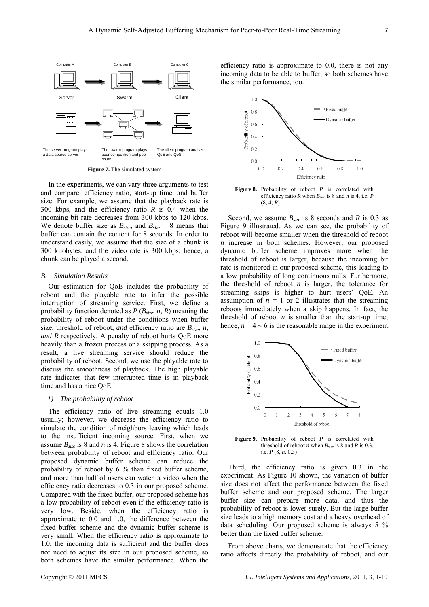

**Figure 7.** The simulated system

In the experiments, we can vary three arguments to test and compare: efficiency ratio, start-up time, and buffer size. For example, we assume that the playback rate is 300 kbps, and the efficiency ratio *R* is 0.4 when the incoming bit rate decreases from 300 kbps to 120 kbps. We denote buffer size as  $B_{size}$ , and  $B_{size} = 8$  means that buffer can contain the content for 8 seconds. In order to understand easily, we assume that the size of a chunk is 300 kilobytes, and the video rate is 300 kbps; hence, a chunk can be played a second.

#### *B. Simulation Results*

Our estimation for QoE includes the probability of reboot and the playable rate to infer the possible interruption of streaming service. First, we define a probability function denoted as  $P(B_{size}, n, R)$  meaning the probability of reboot under the conditions when buffer size, threshold of reboot, *and* efficiency ratio are  $B_{size}$ , *n*, *and R* respectively. A penalty of reboot hurts QoE more heavily than a frozen process or a skipping process. As a result, a live streaming service should reduce the probability of reboot. Second, we use the playable rate to discuss the smoothness of playback. The high playable rate indicates that few interrupted time is in playback time and has a nice QoE.

# *1) The probability of reboot*

The efficiency ratio of live streaming equals 1.0 usually; however, we decrease the efficiency ratio to simulate the condition of neighbors leaving which leads to the insufficient incoming source. First, when we assume  $B_{size}$  is 8 and *n* is 4, Figure 8 shows the correlation between probability of reboot and efficiency ratio. Our proposed dynamic buffer scheme can reduce the probability of reboot by 6 % than fixed buffer scheme, and more than half of users can watch a video when the efficiency ratio decreases to 0.3 in our proposed scheme. Compared with the fixed buffer, our proposed scheme has a low probability of reboot even if the efficiency ratio is very low. Beside, when the efficiency ratio is approximate to 0.0 and 1.0, the difference between the fixed buffer scheme and the dynamic buffer scheme is very small. When the efficiency ratio is approximate to 1.0, the incoming data is sufficient and the buffer does not need to adjust its size in our proposed scheme, so both schemes have the similar performance. When the efficiency ratio is approximate to 0.0, there is not any incoming data to be able to buffer, so both schemes have the similar performance, too.



**Figure 8.** Probability of reboot *P* is correlated with efficiency ratio *R* when *Bsize* is 8 and *n* is 4, i.e. *P* (8, 4, *R*)

Second, we assume  $B_{size}$  is 8 seconds and *R* is 0.3 as Figure 9 illustrated. As we can see, the probability of reboot will become smaller when the threshold of reboot *n* increase in both schemes. However, our proposed dynamic buffer scheme improves more when the threshold of reboot is larger, because the incoming bit rate is monitored in our proposed scheme, this leading to a low probability of long continuous nulls. Furthermore, the threshold of reboot *n* is larger, the tolerance for streaming skips is higher to hurt users' QoE. An assumption of  $n = 1$  or 2 illustrates that the streaming reboots immediately when a skip happens. In fact, the threshold of reboot  $n$  is smaller than the start-up time; hence,  $n = 4 \sim 6$  is the reasonable range in the experiment.



**Figure 9.** Probability of reboot *P* is correlated with threshold of reboot *n* when  $B_{size}$  is 8 and *R* is 0.3, i.e. *P* (8, *n*, 0.3)

Third, the efficiency ratio is given 0.3 in the experiment. As Figure 10 shown, the variation of buffer size does not affect the performance between the fixed buffer scheme and our proposed scheme. The larger buffer size can prepare more data, and thus the probability of reboot is lower surely. But the large buffer size leads to a high memory cost and a heavy overhead of data scheduling. Our proposed scheme is always 5 % better than the fixed buffer scheme.

From above charts, we demonstrate that the efficiency ratio affects directly the probability of reboot, and our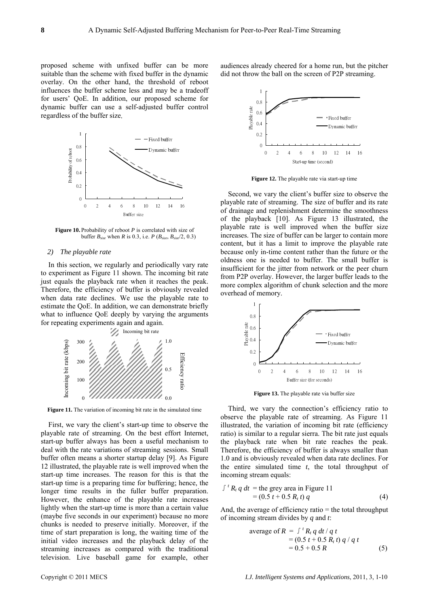proposed scheme with unfixed buffer can be more suitable than the scheme with fixed buffer in the dynamic overlay. On the other hand, the threshold of reboot influences the buffer scheme less and may be a tradeoff for users' QoE. In addition, our proposed scheme for dynamic buffer can use a self-adjusted buffer control regardless of the buffer size.



**Figure 10.** Probability of reboot *P* is correlated with size of buffer  $B_{size}$  when *R* is 0.3, i.e. *P* ( $B_{size}$ ,  $B_{size}/2$ , 0.3)

#### *2) The playable rate*

In this section, we regularly and periodically vary rate to experiment as Figure 11 shown. The incoming bit rate just equals the playback rate when it reaches the peak. Therefore, the efficiency of buffer is obviously revealed when data rate declines. We use the playable rate to estimate the QoE. In addition, we can demonstrate briefly what to influence QoE deeply by varying the arguments for repeating experiments again and again.



**Figure 11.** The variation of incoming bit rate in the simulated time

First, we vary the client's start-up time to observe the playable rate of streaming. On the best effort Internet, start-up buffer always has been a useful mechanism to deal with the rate variations of streaming sessions. Small buffer often means a shorter startup delay [9]. As Figure 12 illustrated, the playable rate is well improved when the start-up time increases. The reason for this is that the start-up time is a preparing time for buffering; hence, the longer time results in the fuller buffer preparation. However, the enhance of the playable rate increases lightly when the start-up time is more than a certain value (maybe five seconds in our experiment) because no more chunks is needed to preserve initially. Moreover, if the time of start preparation is long, the waiting time of the initial video increases and the playback delay of the streaming increases as compared with the traditional television. Live baseball game for example, other audiences already cheered for a home run, but the pitcher did not throw the ball on the screen of P2P streaming.



**Figure 12.** The playable rate via start-up time

Second, we vary the client's buffer size to observe the playable rate of streaming. The size of buffer and its rate of drainage and replenishment determine the smoothness of the playback [10]. As Figure 13 illustrated, the playable rate is well improved when the buffer size increases. The size of buffer can be larger to contain more content, but it has a limit to improve the playable rate because only in-time content rather than the future or the oldness one is needed to buffer. The small buffer is insufficient for the jitter from network or the peer churn from P2P overlay. However, the larger buffer leads to the more complex algorithm of chunk selection and the more overhead of memory.



**Figure 13.** The playable rate via buffer size

Third, we vary the connection's efficiency ratio to observe the playable rate of streaming. As Figure 11 illustrated, the variation of incoming bit rate (efficiency ratio) is similar to a regular sierra. The bit rate just equals the playback rate when bit rate reaches the peak. Therefore, the efficiency of buffer is always smaller than 1.0 and is obviously revealed when data rate declines. For the entire simulated time *t*, the total throughput of incoming stream equals:

$$
\int^t R_t q dt = \text{the grey area in Figure 11}
$$
  
= (0.5  $t + 0.5 R_t t$ ) q (4)

And, the average of efficiency ratio  $=$  the total throughput of incoming stream divides by *q* and *t*:

average of 
$$
R = \int^t R_t q dt / q t
$$
  
= (0.5 t + 0.5 R<sub>t</sub> t) q / q t  
= 0.5 + 0.5 R (5)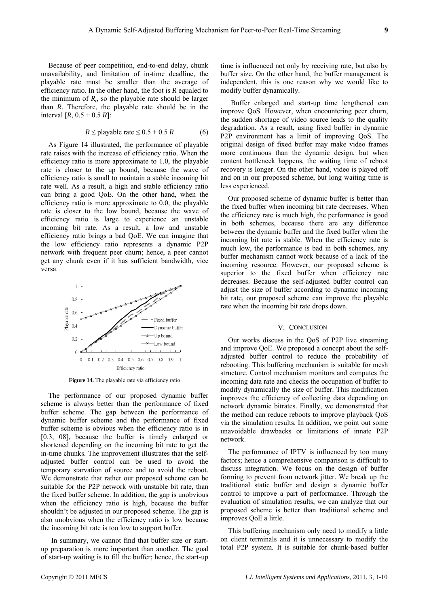Because of peer competition, end-to-end delay, chunk unavailability, and limitation of in-time deadline, the playable rate must be smaller than the average of efficiency ratio. In the other hand, the foot is *R* equaled to the minimum of  $R_t$ , so the playable rate should be larger than *R*. Therefore, the playable rate should be in the interval  $[R, 0.5 + 0.5 R]$ :

$$
R \leq \text{playable rate} \leq 0.5 + 0.5 R \tag{6}
$$

As Figure 14 illustrated, the performance of playable rate raises with the increase of efficiency ratio. When the efficiency ratio is more approximate to 1.0, the playable rate is closer to the up bound, because the wave of efficiency ratio is small to maintain a stable incoming bit rate well. As a result, a high and stable efficiency ratio can bring a good QoE. On the other hand, when the efficiency ratio is more approximate to 0.0, the playable rate is closer to the low bound, because the wave of efficiency ratio is large to experience an unstable incoming bit rate. As a result, a low and unstable efficiency ratio brings a bad QoE. We can imagine that the low efficiency ratio represents a dynamic P2P network with frequent peer churn; hence, a peer cannot get any chunk even if it has sufficient bandwidth, vice versa.



Figure 14. The playable rate via efficiency ratio

The performance of our proposed dynamic buffer scheme is always better than the performance of fixed buffer scheme. The gap between the performance of dynamic buffer scheme and the performance of fixed buffer scheme is obvious when the efficiency ratio is in [0.3, 08], because the buffer is timely enlarged or shortened depending on the incoming bit rate to get the in-time chunks. The improvement illustrates that the selfadjusted buffer control can be used to avoid the temporary starvation of source and to avoid the reboot. We demonstrate that rather our proposed scheme can be suitable for the P2P network with unstable bit rate, than the fixed buffer scheme. In addition, the gap is unobvious when the efficiency ratio is high, because the buffer shouldn't be adjusted in our proposed scheme. The gap is also unobvious when the efficiency ratio is low because the incoming bit rate is too low to support buffer.

In summary, we cannot find that buffer size or startup preparation is more important than another. The goal of start-up waiting is to fill the buffer; hence, the start-up

time is influenced not only by receiving rate, but also by buffer size. On the other hand, the buffer management is independent, this is one reason why we would like to modify buffer dynamically.

Buffer enlarged and start-up time lengthened can improve QoS. However, when encountering peer churn, the sudden shortage of video source leads to the quality degradation. As a result, using fixed buffer in dynamic P2P environment has a limit of improving QoS. The original design of fixed buffer may make video frames more continuous than the dynamic design, but when content bottleneck happens, the waiting time of reboot recovery is longer. On the other hand, video is played off and on in our proposed scheme, but long waiting time is less experienced.

Our proposed scheme of dynamic buffer is better than the fixed buffer when incoming bit rate decreases. When the efficiency rate is much high, the performance is good in both schemes, because there are any difference between the dynamic buffer and the fixed buffer when the incoming bit rate is stable. When the efficiency rate is much low, the performance is bad in both schemes, any buffer mechanism cannot work because of a lack of the incoming resource. However, our proposed scheme is superior to the fixed buffer when efficiency rate decreases. Because the self-adjusted buffer control can adjust the size of buffer according to dynamic incoming bit rate, our proposed scheme can improve the playable rate when the incoming bit rate drops down.

### V. CONCLUSION

Our works discuss in the QoS of P2P live streaming and improve QoE. We proposed a concept about the selfadjusted buffer control to reduce the probability of rebooting. This buffering mechanism is suitable for mesh structure. Control mechanism monitors and computes the incoming data rate and checks the occupation of buffer to modify dynamically the size of buffer. This modification improves the efficiency of collecting data depending on network dynamic bitrates. Finally, we demonstrated that the method can reduce reboots to improve playback QoS via the simulation results. In addition, we point out some unavoidable drawbacks or limitations of innate P2P network.

The performance of IPTV is influenced by too many factors; hence a comprehensive comparison is difficult to discuss integration. We focus on the design of buffer forming to prevent from network jitter. We break up the traditional static buffer and design a dynamic buffer control to improve a part of performance. Through the evaluation of simulation results, we can analyze that our proposed scheme is better than traditional scheme and improves QoE a little.

This buffering mechanism only need to modify a little on client terminals and it is unnecessary to modify the total P2P system. It is suitable for chunk-based buffer